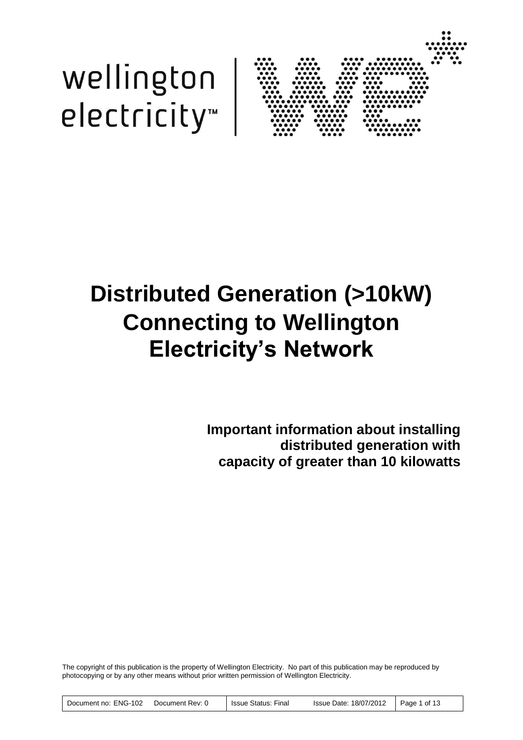



# <span id="page-0-1"></span><span id="page-0-0"></span>**Distributed Generation (>10kW) Connecting to Wellington Electricity's Network**

**Important information about installing distributed generation with capacity of greater than 10 kilowatts**

The copyright of this publication is the property of Wellington Electricity. No part of this publication may be reproduced by photocopying or by any other means without prior written permission of Wellington Electricity.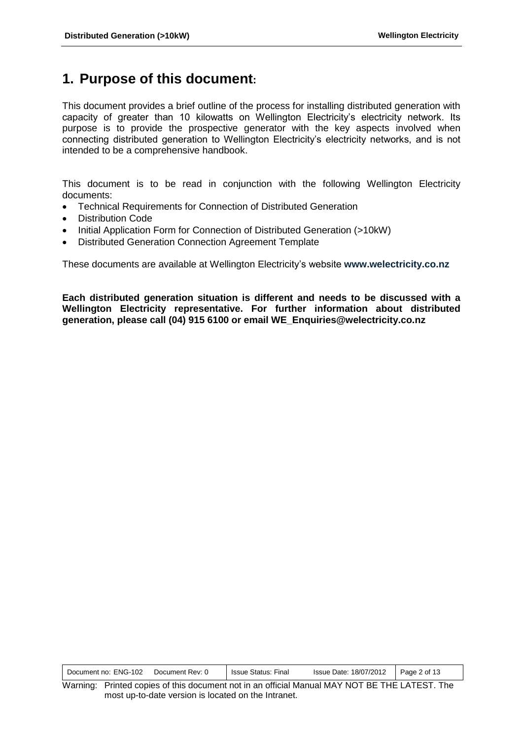# <span id="page-1-0"></span>**1. Purpose of this document:**

This document provides a brief outline of the process for installing distributed generation with capacity of greater than 10 kilowatts on Wellington Electricity's electricity network. Its purpose is to provide the prospective generator with the key aspects involved when connecting distributed generation to Wellington Electricity's electricity networks, and is not intended to be a comprehensive handbook.

This document is to be read in conjunction with the following Wellington Electricity documents:

- Technical Requirements for Connection of Distributed Generation
- Distribution Code
- Initial Application Form for Connection of Distributed Generation (>10kW)
- Distributed Generation Connection Agreement Template

These documents are available at Wellington Electricity's website **www.welectricity.co.nz**

**Each distributed generation situation is different and needs to be discussed with a Wellington Electricity representative. For further information about distributed generation, please call (04) 915 6100 or email WE\_Enquiries@welectricity.co.nz**

| Document no: ENG-102 | Document Rev: 0 | Issue Status: Final | Issue Date: 18/07/2012   Page 2 of 13 |  |
|----------------------|-----------------|---------------------|---------------------------------------|--|
|----------------------|-----------------|---------------------|---------------------------------------|--|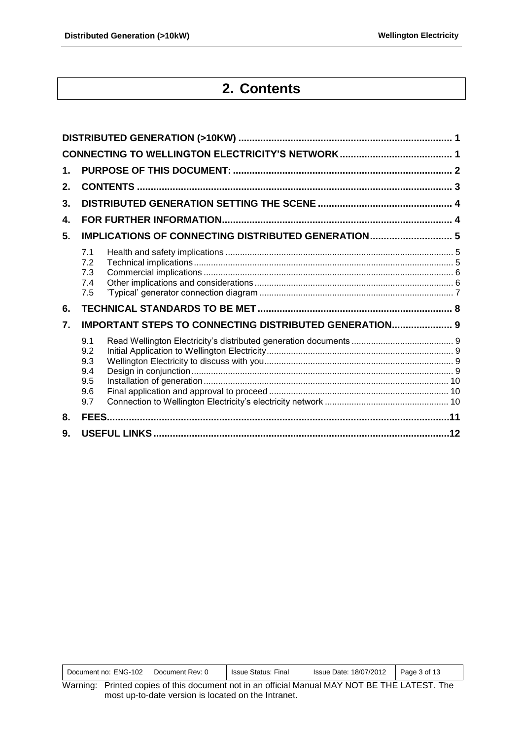$\mathbf{r}$ 

# **2. Contents**

<span id="page-2-0"></span>

| 1.                   |                                                               |  |
|----------------------|---------------------------------------------------------------|--|
| 2.                   |                                                               |  |
| 3.                   |                                                               |  |
| 4.                   |                                                               |  |
| 5.                   | <b>IMPLICATIONS OF CONNECTING DISTRIBUTED GENERATION 5</b>    |  |
|                      | 7.1<br>7.2<br>7.3<br>7.4<br>7.5                               |  |
| 6.                   |                                                               |  |
| $\mathbf{7}_{\cdot}$ | <b>IMPORTANT STEPS TO CONNECTING DISTRIBUTED GENERATION 9</b> |  |
|                      | 9.1<br>9.2<br>9.3<br>9.4<br>9.5<br>9.6<br>9.7                 |  |
| 8.                   |                                                               |  |
| 9.                   |                                                               |  |

|  | <b>ENG-102</b><br>Document Rev: 0<br><b>Issue Status:</b><br>Document no: | 18/07/2012<br><b>Issue Date:</b><br>Final | Page J<br>. 3 of 13 |
|--|---------------------------------------------------------------------------|-------------------------------------------|---------------------|
|--|---------------------------------------------------------------------------|-------------------------------------------|---------------------|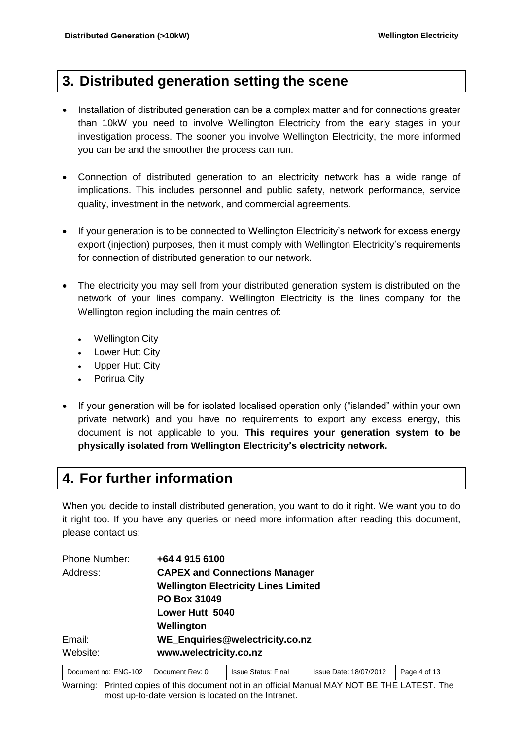# <span id="page-3-0"></span>**3. Distributed generation setting the scene**

- Installation of distributed generation can be a complex matter and for connections greater than 10kW you need to involve Wellington Electricity from the early stages in your investigation process. The sooner you involve Wellington Electricity, the more informed you can be and the smoother the process can run.
- Connection of distributed generation to an electricity network has a wide range of implications. This includes personnel and public safety, network performance, service quality, investment in the network, and commercial agreements.
- If your generation is to be connected to Wellington Electricity's network for excess energy export (injection) purposes, then it must comply with Wellington Electricity's requirements for connection of distributed generation to our network.
- The electricity you may sell from your distributed generation system is distributed on the network of your lines company. Wellington Electricity is the lines company for the Wellington region including the main centres of:
	- Wellington City
	- Lower Hutt City
	- Upper Hutt City
	- Porirua City
- If your generation will be for isolated localised operation only ("islanded" within your own private network) and you have no requirements to export any excess energy, this document is not applicable to you. **This requires your generation system to be physically isolated from Wellington Electricity's electricity network.**

# <span id="page-3-1"></span>**4. For further information**

When you decide to install distributed generation, you want to do it right. We want you to do it right too. If you have any queries or need more information after reading this document, please contact us:

| +64 4 915 6100                              |
|---------------------------------------------|
| <b>CAPEX and Connections Manager</b>        |
| <b>Wellington Electricity Lines Limited</b> |
| <b>PO Box 31049</b>                         |
| Lower Hutt 5040                             |
| Wellington                                  |
| WE_Enquiries@welectricity.co.nz             |
| www.welectricity.co.nz                      |
|                                             |

| Document no: ENG-102 | Document Rev: 0 | <b>Issue Status: Final</b> | Issue Date: 18/07/2012   Page 4 of 13 |  |
|----------------------|-----------------|----------------------------|---------------------------------------|--|
|                      |                 |                            |                                       |  |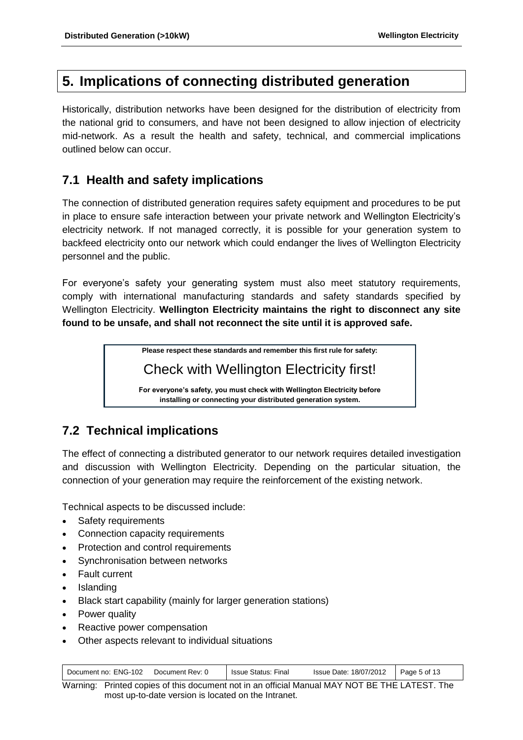# <span id="page-4-0"></span>**5. Implications of connecting distributed generation**

Historically, distribution networks have been designed for the distribution of electricity from the national grid to consumers, and have not been designed to allow injection of electricity mid-network. As a result the health and safety, technical, and commercial implications outlined below can occur.

### <span id="page-4-1"></span>**7.1 Health and safety implications**

The connection of distributed generation requires safety equipment and procedures to be put in place to ensure safe interaction between your private network and Wellington Electricity's electricity network. If not managed correctly, it is possible for your generation system to backfeed electricity onto our network which could endanger the lives of Wellington Electricity personnel and the public.

For everyone's safety your generating system must also meet statutory requirements, comply with international manufacturing standards and safety standards specified by Wellington Electricity. **Wellington Electricity maintains the right to disconnect any site found to be unsafe, and shall not reconnect the site until it is approved safe.**

**Please respect these standards and remember this first rule for safety:**

Check with Wellington Electricity first!

**For everyone's safety, you must check with Wellington Electricity before installing or connecting your distributed generation system.**

# <span id="page-4-2"></span>**7.2 Technical implications**

The effect of connecting a distributed generator to our network requires detailed investigation and discussion with Wellington Electricity. Depending on the particular situation, the connection of your generation may require the reinforcement of the existing network.

Technical aspects to be discussed include:

- Safety requirements
- Connection capacity requirements
- Protection and control requirements
- Synchronisation between networks
- Fault current
- Islanding
- Black start capability (mainly for larger generation stations)
- Power quality
- Reactive power compensation
- Other aspects relevant to individual situations

| Document Rev: 0<br>Document no: ENG-102 | <b>Issue Status: Final</b> | Issue Date: 18/07/2012   Page 5 of 13 |  |
|-----------------------------------------|----------------------------|---------------------------------------|--|
|-----------------------------------------|----------------------------|---------------------------------------|--|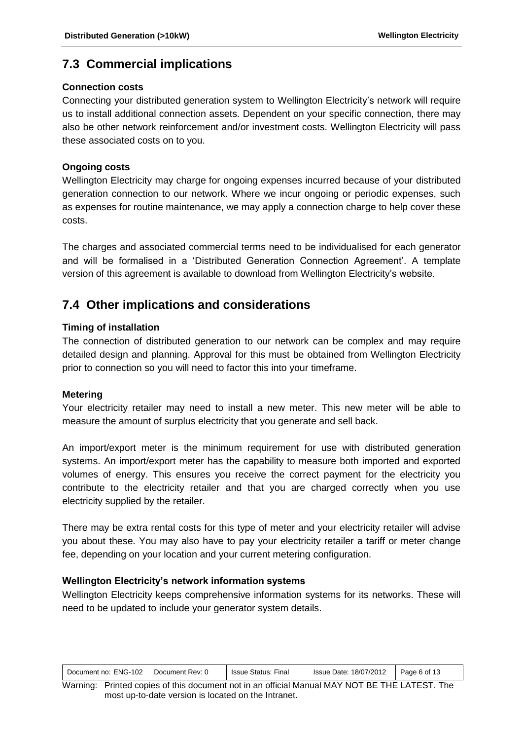#### <span id="page-5-0"></span>**7.3 Commercial implications**

#### **Connection costs**

Connecting your distributed generation system to Wellington Electricity's network will require us to install additional connection assets. Dependent on your specific connection, there may also be other network reinforcement and/or investment costs. Wellington Electricity will pass these associated costs on to you.

#### **Ongoing costs**

Wellington Electricity may charge for ongoing expenses incurred because of your distributed generation connection to our network. Where we incur ongoing or periodic expenses, such as expenses for routine maintenance, we may apply a connection charge to help cover these costs.

The charges and associated commercial terms need to be individualised for each generator and will be formalised in a 'Distributed Generation Connection Agreement'. A template version of this agreement is available to download from Wellington Electricity's website.

### <span id="page-5-1"></span>**7.4 Other implications and considerations**

#### **Timing of installation**

The connection of distributed generation to our network can be complex and may require detailed design and planning. Approval for this must be obtained from Wellington Electricity prior to connection so you will need to factor this into your timeframe.

#### **Metering**

Your electricity retailer may need to install a new meter. This new meter will be able to measure the amount of surplus electricity that you generate and sell back.

An import/export meter is the minimum requirement for use with distributed generation systems. An import/export meter has the capability to measure both imported and exported volumes of energy. This ensures you receive the correct payment for the electricity you contribute to the electricity retailer and that you are charged correctly when you use electricity supplied by the retailer.

There may be extra rental costs for this type of meter and your electricity retailer will advise you about these. You may also have to pay your electricity retailer a tariff or meter change fee, depending on your location and your current metering configuration.

#### **Wellington Electricity's network information systems**

Wellington Electricity keeps comprehensive information systems for its networks. These will need to be updated to include your generator system details.

| Document no: ENG-102 | Document Rev: 0 | <b>Issue Status: Final</b> | Issue Date: 18/07/2012 | $\vert$ Page 6 of 13 |
|----------------------|-----------------|----------------------------|------------------------|----------------------|
|----------------------|-----------------|----------------------------|------------------------|----------------------|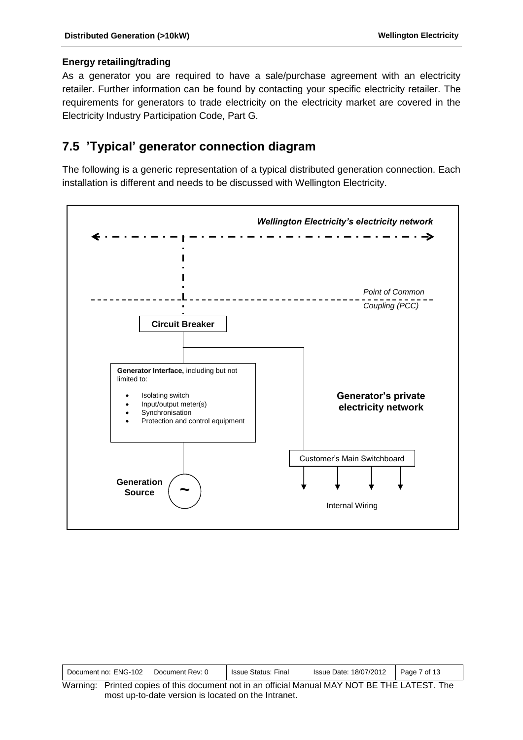#### **Energy retailing/trading**

As a generator you are required to have a sale/purchase agreement with an electricity retailer. Further information can be found by contacting your specific electricity retailer. The requirements for generators to trade electricity on the electricity market are covered in the Electricity Industry Participation Code, Part G.

#### <span id="page-6-0"></span>**7.5 'Typical' generator connection diagram**

The following is a generic representation of a typical distributed generation connection. Each installation is different and needs to be discussed with Wellington Electricity.



| Document no: ENG-102 | Document Rev: 0 | <b>Issue Status: Final</b> | Issue Date: 18/07/2012 | Page 7 of 13 |
|----------------------|-----------------|----------------------------|------------------------|--------------|
| $\mathbf{u}$         |                 | .                          | $\cdots$               |              |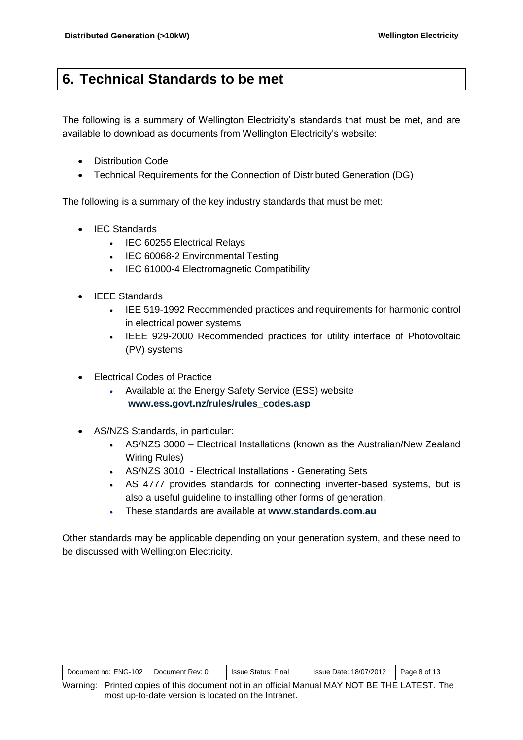# <span id="page-7-0"></span>**6. Technical Standards to be met**

The following is a summary of Wellington Electricity's standards that must be met, and are available to download as documents from Wellington Electricity's website:

- Distribution Code
- Technical Requirements for the Connection of Distributed Generation (DG)

The following is a summary of the key industry standards that must be met:

- IEC Standards
	- IEC 60255 Electrical Relays
	- IEC 60068-2 Environmental Testing
	- IEC 61000-4 Electromagnetic Compatibility
- IEEE Standards
	- IEE 519-1992 Recommended practices and requirements for harmonic control in electrical power systems
	- IEEE 929-2000 Recommended practices for utility interface of Photovoltaic (PV) systems
- Electrical Codes of Practice
	- Available at the Energy Safety Service (ESS) website **www.ess.govt.nz/rules/rules\_codes.asp**
- AS/NZS Standards, in particular:
	- AS/NZS 3000 Electrical Installations (known as the Australian/New Zealand Wiring Rules)
	- AS/NZS 3010 Electrical Installations Generating Sets
	- AS 4777 provides standards for connecting inverter-based systems, but is also a useful guideline to installing other forms of generation.
	- These standards are available at **www.standards.com.au**

Other standards may be applicable depending on your generation system, and these need to be discussed with Wellington Electricity.

| Document no: ENG-102 | Document Rev: 0 | <b>Issue Status: Final</b> | Issue Date: 18/07/2012 | Page 8 of 13 |
|----------------------|-----------------|----------------------------|------------------------|--------------|
|----------------------|-----------------|----------------------------|------------------------|--------------|

Warning: Printed copies of this document not in an official Manual MAY NOT BE THE LATEST. The most up-to-date version is located on the Intranet.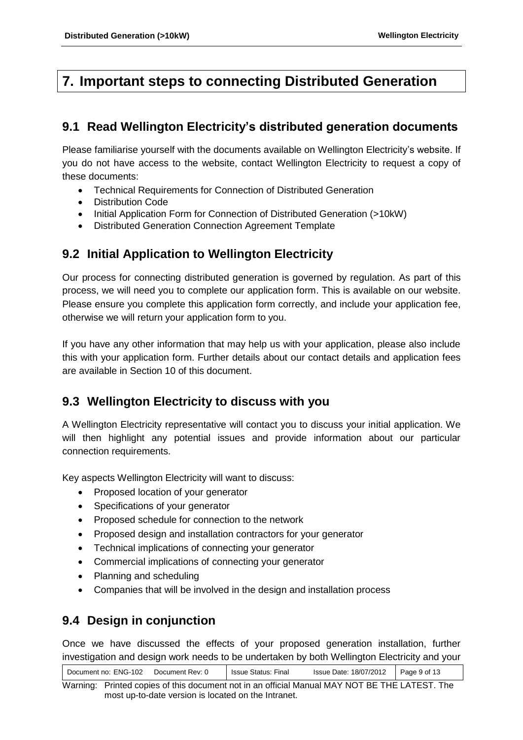# <span id="page-8-0"></span>**7. Important steps to connecting Distributed Generation**

### <span id="page-8-1"></span>**9.1 Read Wellington Electricity's distributed generation documents**

Please familiarise yourself with the documents available on Wellington Electricity's website. If you do not have access to the website, contact Wellington Electricity to request a copy of these documents:

- Technical Requirements for Connection of Distributed Generation
- Distribution Code
- Initial Application Form for Connection of Distributed Generation (>10kW)
- Distributed Generation Connection Agreement Template

### <span id="page-8-2"></span>**9.2 Initial Application to Wellington Electricity**

Our process for connecting distributed generation is governed by regulation. As part of this process, we will need you to complete our application form. This is available on our website. Please ensure you complete this application form correctly, and include your application fee, otherwise we will return your application form to you.

If you have any other information that may help us with your application, please also include this with your application form. Further details about our contact details and application fees are available in Section 10 of this document.

### <span id="page-8-3"></span>**9.3 Wellington Electricity to discuss with you**

A Wellington Electricity representative will contact you to discuss your initial application. We will then highlight any potential issues and provide information about our particular connection requirements.

Key aspects Wellington Electricity will want to discuss:

- Proposed location of your generator
- Specifications of your generator
- Proposed schedule for connection to the network
- Proposed design and installation contractors for your generator
- Technical implications of connecting your generator
- Commercial implications of connecting your generator
- Planning and scheduling
- Companies that will be involved in the design and installation process

### <span id="page-8-4"></span>**9.4 Design in conjunction**

Once we have discussed the effects of your proposed generation installation, further investigation and design work needs to be undertaken by both Wellington Electricity and your

Document no: ENG-102 Document Rev: 0 | Issue Status: Final Issue Date: 18/07/2012 | Page 9 of 13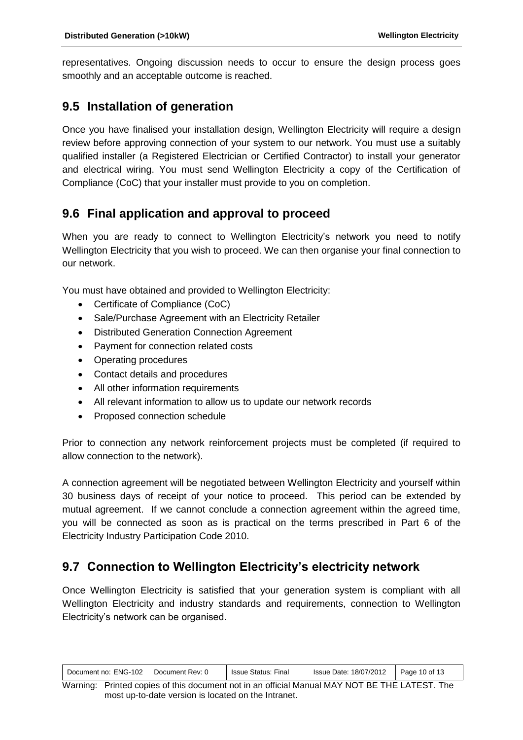representatives. Ongoing discussion needs to occur to ensure the design process goes smoothly and an acceptable outcome is reached.

#### <span id="page-9-0"></span>**9.5 Installation of generation**

Once you have finalised your installation design, Wellington Electricity will require a design review before approving connection of your system to our network. You must use a suitably qualified installer (a Registered Electrician or Certified Contractor) to install your generator and electrical wiring. You must send Wellington Electricity a copy of the Certification of Compliance (CoC) that your installer must provide to you on completion.

### <span id="page-9-1"></span>**9.6 Final application and approval to proceed**

When you are ready to connect to Wellington Electricity's network you need to notify Wellington Electricity that you wish to proceed. We can then organise your final connection to our network.

You must have obtained and provided to Wellington Electricity:

- Certificate of Compliance (CoC)
- Sale/Purchase Agreement with an Electricity Retailer
- Distributed Generation Connection Agreement
- Payment for connection related costs
- Operating procedures
- Contact details and procedures
- All other information requirements
- All relevant information to allow us to update our network records
- Proposed connection schedule

Prior to connection any network reinforcement projects must be completed (if required to allow connection to the network).

A connection agreement will be negotiated between Wellington Electricity and yourself within 30 business days of receipt of your notice to proceed. This period can be extended by mutual agreement. If we cannot conclude a connection agreement within the agreed time, you will be connected as soon as is practical on the terms prescribed in Part 6 of the Electricity Industry Participation Code 2010.

### <span id="page-9-2"></span>**9.7 Connection to Wellington Electricity's electricity network**

Once Wellington Electricity is satisfied that your generation system is compliant with all Wellington Electricity and industry standards and requirements, connection to Wellington Electricity's network can be organised.

| Document no: ENG-102 | Document Rev: 0 | <b>Issue Status: Final</b> | Issue Date: 18/07/2012   Page 10 of 13 |  |
|----------------------|-----------------|----------------------------|----------------------------------------|--|
|----------------------|-----------------|----------------------------|----------------------------------------|--|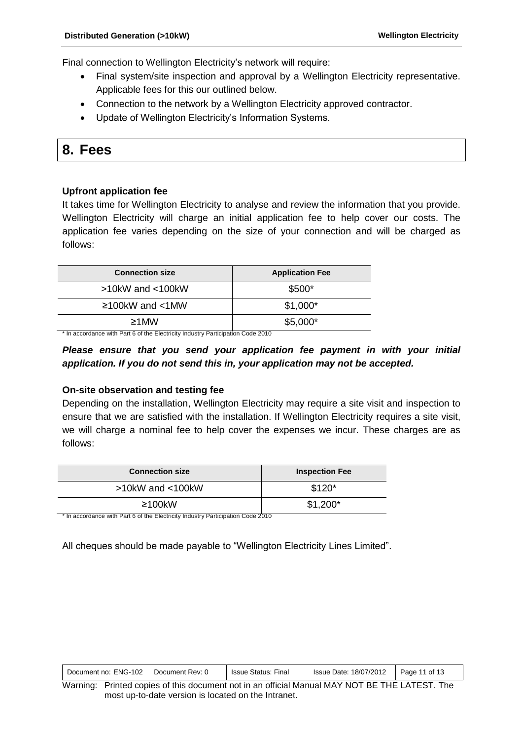Final connection to Wellington Electricity's network will require:

- Final system/site inspection and approval by a Wellington Electricity representative. Applicable fees for this our outlined below.
- Connection to the network by a Wellington Electricity approved contractor.
- Update of Wellington Electricity's Information Systems.

# <span id="page-10-0"></span>**8. Fees**

#### **Upfront application fee**

It takes time for Wellington Electricity to analyse and review the information that you provide. Wellington Electricity will charge an initial application fee to help cover our costs. The application fee varies depending on the size of your connection and will be charged as follows:

| <b>Connection size</b> | <b>Application Fee</b> |
|------------------------|------------------------|
| $>10$ kW and $<$ 100kW | \$500*                 |
| $\geq$ 100kW and <1MW  | $$1,000*$              |
| $\geq$ 1MW             | $$5,000*$              |

\* In accordance with Part 6 of the Electricity Industry Participation Code 2010

#### *Please ensure that you send your application fee payment in with your initial application. If you do not send this in, your application may not be accepted.*

#### **On-site observation and testing fee**

Depending on the installation, Wellington Electricity may require a site visit and inspection to ensure that we are satisfied with the installation. If Wellington Electricity requires a site visit, we will charge a nominal fee to help cover the expenses we incur. These charges are as follows:

| <b>Connection size</b> | <b>Inspection Fee</b> |
|------------------------|-----------------------|
| $>10$ kW and $<$ 100kW | $$120*$               |
| $\geq 100$ kW          | $$1,200*$             |

\* In accordance with Part 6 of the Electricity Industry Participation Code 2010

All cheques should be made payable to "Wellington Electricity Lines Limited".

| Document no: ENG-102 | Document Rev: 0 | <b>Issue Status: Final</b> | Issue Date: 18/07/2012 | Page 11 of 13 |  |
|----------------------|-----------------|----------------------------|------------------------|---------------|--|
|----------------------|-----------------|----------------------------|------------------------|---------------|--|